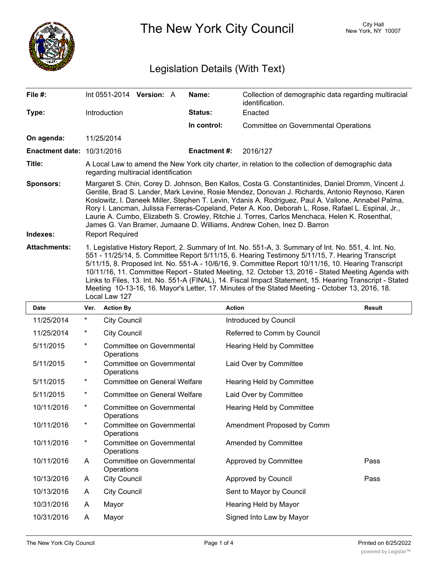

The New York City Council New York, NY 10007

# Legislation Details (With Text)

|                                                                                                                                                                                                                                                                                                                                                                                                                                                                                                                                                                                                                                                       |                  |                                                                        |                                            | Name:                    | Collection of demographic data regarding multiracial<br>identification. |                                                                       |
|-------------------------------------------------------------------------------------------------------------------------------------------------------------------------------------------------------------------------------------------------------------------------------------------------------------------------------------------------------------------------------------------------------------------------------------------------------------------------------------------------------------------------------------------------------------------------------------------------------------------------------------------------------|------------------|------------------------------------------------------------------------|--------------------------------------------|--------------------------|-------------------------------------------------------------------------|-----------------------------------------------------------------------|
|                                                                                                                                                                                                                                                                                                                                                                                                                                                                                                                                                                                                                                                       |                  |                                                                        |                                            | <b>Status:</b>           | Enacted                                                                 |                                                                       |
|                                                                                                                                                                                                                                                                                                                                                                                                                                                                                                                                                                                                                                                       |                  |                                                                        |                                            | In control:              | <b>Committee on Governmental Operations</b>                             |                                                                       |
|                                                                                                                                                                                                                                                                                                                                                                                                                                                                                                                                                                                                                                                       |                  |                                                                        |                                            |                          |                                                                         |                                                                       |
|                                                                                                                                                                                                                                                                                                                                                                                                                                                                                                                                                                                                                                                       |                  |                                                                        |                                            | <b>Enactment #:</b>      | 2016/127                                                                |                                                                       |
| A Local Law to amend the New York city charter, in relation to the collection of demographic data<br>regarding multiracial identification                                                                                                                                                                                                                                                                                                                                                                                                                                                                                                             |                  |                                                                        |                                            |                          |                                                                         |                                                                       |
| Margaret S. Chin, Corey D. Johnson, Ben Kallos, Costa G. Constantinides, Daniel Dromm, Vincent J.<br>Gentile, Brad S. Lander, Mark Levine, Rosie Mendez, Donovan J. Richards, Antonio Reynoso, Karen<br>Koslowitz, I. Daneek Miller, Stephen T. Levin, Ydanis A. Rodriguez, Paul A. Vallone, Annabel Palma,<br>Rory I. Lancman, Julissa Ferreras-Copeland, Peter A. Koo, Deborah L. Rose, Rafael L. Espinal, Jr.,<br>Laurie A. Cumbo, Elizabeth S. Crowley, Ritchie J. Torres, Carlos Menchaca, Helen K. Rosenthal,<br>James G. Van Bramer, Jumaane D. Williams, Andrew Cohen, Inez D. Barron<br><b>Report Required</b>                               |                  |                                                                        |                                            |                          |                                                                         |                                                                       |
| 1. Legislative History Report, 2. Summary of Int. No. 551-A, 3. Summary of Int. No. 551, 4. Int. No.<br>551 - 11/25/14, 5. Committee Report 5/11/15, 6. Hearing Testimony 5/11/15, 7. Hearing Transcript<br>5/11/15, 8. Proposed Int. No. 551-A - 10/6/16, 9. Committee Report 10/11/16, 10. Hearing Transcript<br>10/11/16, 11. Committee Report - Stated Meeting, 12. October 13, 2016 - Stated Meeting Agenda with<br>Links to Files, 13. Int. No. 551-A (FINAL), 14. Fiscal Impact Statement, 15. Hearing Transcript - Stated<br>Meeting 10-13-16, 16. Mayor's Letter, 17. Minutes of the Stated Meeting - October 13, 2016, 18.<br>Local Law 127 |                  |                                                                        |                                            |                          |                                                                         |                                                                       |
| Ver.                                                                                                                                                                                                                                                                                                                                                                                                                                                                                                                                                                                                                                                  | <b>Action By</b> |                                                                        |                                            |                          |                                                                         | <b>Result</b>                                                         |
| $^\star$                                                                                                                                                                                                                                                                                                                                                                                                                                                                                                                                                                                                                                              |                  |                                                                        |                                            |                          |                                                                         |                                                                       |
| *                                                                                                                                                                                                                                                                                                                                                                                                                                                                                                                                                                                                                                                     |                  |                                                                        |                                            |                          |                                                                         |                                                                       |
|                                                                                                                                                                                                                                                                                                                                                                                                                                                                                                                                                                                                                                                       |                  | <b>Introduction</b><br>11/25/2014<br><b>Enactment date: 10/31/2016</b> | <b>City Council</b><br><b>City Council</b> | Int 0551-2014 Version: A |                                                                         | <b>Action</b><br>Introduced by Council<br>Referred to Comm by Council |

| 11/25/2014 | $^\star$ | <b>City Council</b>                     | Introduced by Council       |      |
|------------|----------|-----------------------------------------|-----------------------------|------|
| 11/25/2014 | $\ast$   | <b>City Council</b>                     | Referred to Comm by Council |      |
| 5/11/2015  | $^\star$ | Committee on Governmental<br>Operations | Hearing Held by Committee   |      |
| 5/11/2015  | *        | Committee on Governmental<br>Operations | Laid Over by Committee      |      |
| 5/11/2015  | $\ast$   | <b>Committee on General Welfare</b>     | Hearing Held by Committee   |      |
| 5/11/2015  | $\ast$   | <b>Committee on General Welfare</b>     | Laid Over by Committee      |      |
| 10/11/2016 | *        | Committee on Governmental<br>Operations | Hearing Held by Committee   |      |
| 10/11/2016 | *        | Committee on Governmental<br>Operations | Amendment Proposed by Comm  |      |
| 10/11/2016 | $^\star$ | Committee on Governmental<br>Operations | Amended by Committee        |      |
| 10/11/2016 | A        | Committee on Governmental<br>Operations | Approved by Committee       | Pass |
| 10/13/2016 | A        | <b>City Council</b>                     | Approved by Council         | Pass |
| 10/13/2016 | A        | <b>City Council</b>                     | Sent to Mayor by Council    |      |
| 10/31/2016 | A        | Mayor                                   | Hearing Held by Mayor       |      |
| 10/31/2016 | A        | Mayor                                   | Signed Into Law by Mayor    |      |
|            |          |                                         |                             |      |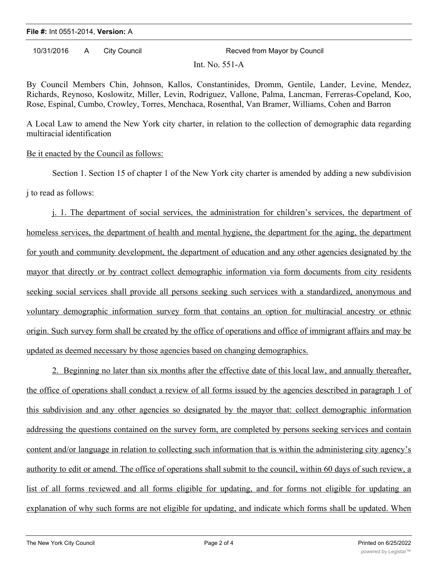#### **File #:** Int 0551-2014, **Version:** A

10/31/2016 A City Council **Recved from Mayor by Council** 

Int.  $No. 551-A$ 

By Council Members Chin, Johnson, Kallos, Constantinides, Dromm, Gentile, Lander, Levine, Mendez, Richards, Reynoso, Koslowitz, Miller, Levin, Rodriguez, Vallone, Palma, Lancman, Ferreras-Copeland, Koo, Rose, Espinal, Cumbo, Crowley, Torres, Menchaca, Rosenthal, Van Bramer, Williams, Cohen and Barron

A Local Law to amend the New York city charter, in relation to the collection of demographic data regarding multiracial identification

## Be it enacted by the Council as follows:

Section 1. Section 15 of chapter 1 of the New York city charter is amended by adding a new subdivision j to read as follows:

j. 1. The department of social services, the administration for children's services, the department of homeless services, the department of health and mental hygiene, the department for the aging, the department for youth and community development, the department of education and any other agencies designated by the mayor that directly or by contract collect demographic information via form documents from city residents seeking social services shall provide all persons seeking such services with a standardized, anonymous and voluntary demographic information survey form that contains an option for multiracial ancestry or ethnic origin. Such survey form shall be created by the office of operations and office of immigrant affairs and may be updated as deemed necessary by those agencies based on changing demographics.

2. Beginning no later than six months after the effective date of this local law, and annually thereafter, the office of operations shall conduct a review of all forms issued by the agencies described in paragraph 1 of this subdivision and any other agencies so designated by the mayor that: collect demographic information addressing the questions contained on the survey form, are completed by persons seeking services and contain content and/or language in relation to collecting such information that is within the administering city agency's authority to edit or amend. The office of operations shall submit to the council, within 60 days of such review, a list of all forms reviewed and all forms eligible for updating, and for forms not eligible for updating an explanation of why such forms are not eligible for updating, and indicate which forms shall be updated. When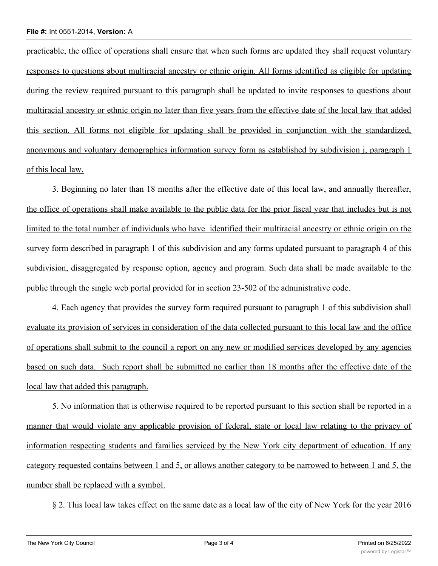#### **File #:** Int 0551-2014, **Version:** A

practicable, the office of operations shall ensure that when such forms are updated they shall request voluntary responses to questions about multiracial ancestry or ethnic origin. All forms identified as eligible for updating during the review required pursuant to this paragraph shall be updated to invite responses to questions about multiracial ancestry or ethnic origin no later than five years from the effective date of the local law that added this section. All forms not eligible for updating shall be provided in conjunction with the standardized, anonymous and voluntary demographics information survey form as established by subdivision j, paragraph 1 of this local law.

3. Beginning no later than 18 months after the effective date of this local law, and annually thereafter, the office of operations shall make available to the public data for the prior fiscal year that includes but is not limited to the total number of individuals who have identified their multiracial ancestry or ethnic origin on the survey form described in paragraph 1 of this subdivision and any forms updated pursuant to paragraph 4 of this subdivision, disaggregated by response option, agency and program. Such data shall be made available to the public through the single web portal provided for in section 23-502 of the administrative code.

4. Each agency that provides the survey form required pursuant to paragraph 1 of this subdivision shall evaluate its provision of services in consideration of the data collected pursuant to this local law and the office of operations shall submit to the council a report on any new or modified services developed by any agencies based on such data. Such report shall be submitted no earlier than 18 months after the effective date of the local law that added this paragraph.

5. No information that is otherwise required to be reported pursuant to this section shall be reported in a manner that would violate any applicable provision of federal, state or local law relating to the privacy of information respecting students and families serviced by the New York city department of education. If any category requested contains between 1 and 5, or allows another category to be narrowed to between 1 and 5, the number shall be replaced with a symbol.

§ 2. This local law takes effect on the same date as a local law of the city of New York for the year 2016